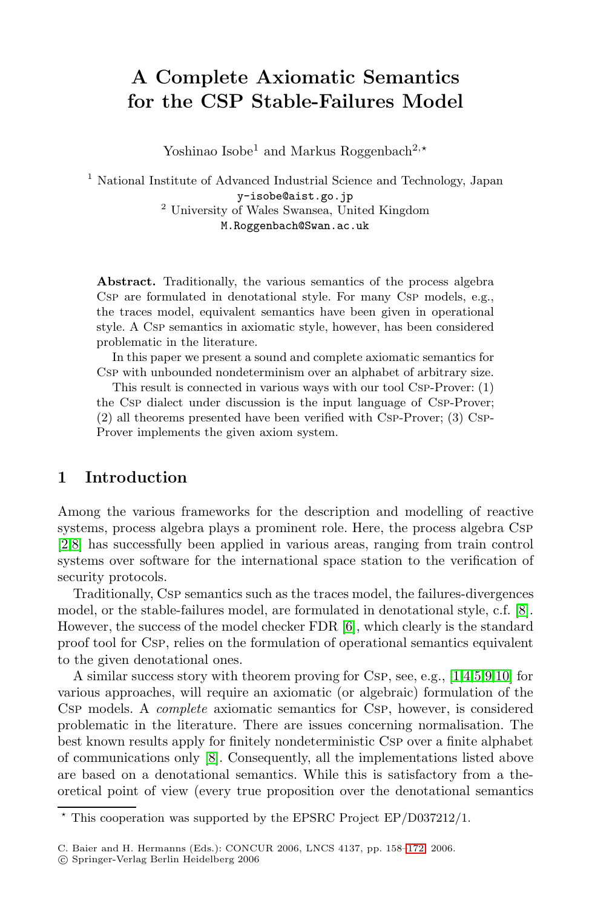# **A Complete Axiomatic Semantics for the CSP Stable-Failures Model**

Yoshinao Isobe<sup>1</sup> and Markus Roggenbach<sup>2,\*</sup>

<sup>1</sup> National Institute of Advanced Industrial Science and Technology, Japan y-isobe@aist.go.jp <sup>2</sup> University of Wales Swansea, United Kingdom M.Roggenbach@Swan.ac.uk

**Abstract.** Traditionally, the various semantics of the process algebra Csp are formulated in denotational style. For many Csp models, e.g., the traces model, equivalent semantics have been given in operational style. A Csp semantics in axiomatic style, however, has been considered problematic in the literature.

In this paper we present a sound and complete axiomatic semantics for Csp with unbounded nondeterminism over an alphabet of arbitrary size.

This result is connected in various ways with our tool Csp-Prover: (1) the Csp dialect under discussion is the input language of Csp-Prover; (2) all theorems presented have been verified with Csp-Prover; (3) Csp-Prover implements the given axiom system.

## **1 Introduction**

Among the various frameworks for the description and modelling of reactive systems, process algebra plays a prominent role. Here, the process algebra CSP [\[2,](#page-14-0)[8\]](#page-14-1) has successfully been applied in various areas, ranging from train control systems over software for the international space station to the verification of security protocols.

Traditionally, Csp semantics such as the traces model, the failures-divergences model, or the stable-failures model, are formulated in denotational style, c.f. [\[8\]](#page-14-1). However, the success of the model checker FDR [\[6\]](#page-14-2), which clearly is the standard proof tool for Csp, relies on the formulation of operational semantics equivalent to the given denotational ones.

A similar success story with theorem proving for Csp, see, e.g., [\[1](#page-14-3)[,4,](#page-14-4)[5,](#page-14-5)[9](#page-14-6)[,10\]](#page-14-7) for various approaches, will require an axiomatic (or algebraic) formulation of the Csp models. A complete axiomatic semantics for Csp, however, is considered problematic in the literature. There are issues concerning normalisation. The best known results apply for finitely nondeterministic Csp over a finite alphabet of communications only [\[8\]](#page-14-1). Consequently, all the implementations listed above are based on a denotational semantics. While this is satisfactory from a theoretical point of view (every true proposition over the denotational semantics

<sup>\*</sup> This cooperation was supported by the EPSRC Project EP/D037212/1.

C. Baier and H. Hermanns (Eds.): CONCUR 2006, LNCS 4137, pp. 158[–172,](#page-14-8) 2006.

<sup>-</sup>c Springer-Verlag Berlin Heidelberg 2006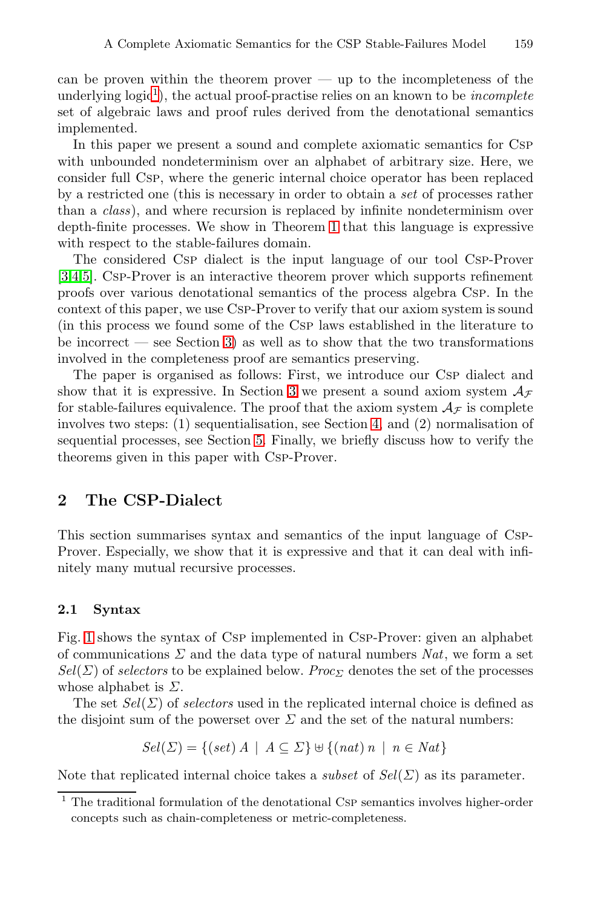can be proven within the theorem prover — up to the incompleteness of the underlying  $logic<sup>1</sup>$  $logic<sup>1</sup>$  $logic<sup>1</sup>$ , the actual proof-practise relies on an known to be *incomplete* set of algebraic laws and proof rules derived from the denotational semantics implemented.

In this paper we present a sound and complete axiomatic semantics for Csp with unbounded nondeterminism over an alphabet of arbitrary size. Here, we consider full Csp, where the generic internal choice operator has been replaced by a restricted one (this is necessary in order to obtain a set of processes rather than a class), and where recursion is replaced by infinite nondeterminism over depth-finite processes. We show in Theorem [1](#page-4-0) that this language is expressive with respect to the stable-failures domain.

The considered Csp dialect is the input language of our tool Csp-Prover [\[3,](#page-14-9)[4](#page-14-4)[,5\]](#page-14-5). Csp-Prover is an interactive theorem prover which supports refinement proofs over various denotational semantics of the process algebra Csp. In the context of this paper, we use Csp-Prover to verify that our axiom system is sound (in this process we found some of the Csp laws established in the literature to be incorrect — see Section [3\)](#page-5-0) as well as to show that the two transformations involved in the completeness proof are semantics preserving.

The paper is organised as follows: First, we introduce our Csp dialect and show that it is expressive. In Section [3](#page-5-0) we present a sound axiom system  $\mathcal{A}_{\mathcal{F}}$ for stable-failures equivalence. The proof that the axiom system  $\mathcal{A}_{\mathcal{F}}$  is complete involves two steps: (1) sequentialisation, see Section [4,](#page-7-0) and (2) normalisation of sequential processes, see Section [5.](#page-9-0) Finally, we briefly discuss how to verify the theorems given in this paper with Csp-Prover.

#### **2 The CSP-Dialect**

This section summarises syntax and semantics of the input language of Csp-Prover. Especially, we show that it is expressive and that it can deal with infinitely many mutual recursive processes.

#### **2.1 Syntax**

Fig. [1](#page-2-0) shows the syntax of Csp implemented in Csp-Prover: given an alphabet of communications  $\Sigma$  and the data type of natural numbers Nat, we form a set  $Sel(\Sigma)$  of selectors to be explained below. Proc<sub>Σ</sub> denotes the set of the processes whose alphabet is  $\Sigma$ .

The set  $Sel(\Sigma)$  of selectors used in the replicated internal choice is defined as the disjoint sum of the powerset over  $\Sigma$  and the set of the natural numbers:

$$
Sel(\Sigma) = \{ (set) \land \mid A \subseteq \Sigma \} \cup \{ (nat) \land \mid n \in Nat \}
$$

Note that replicated internal choice takes a *subset* of  $Sel(\Sigma)$  as its parameter.

<span id="page-1-0"></span><sup>1</sup> The traditional formulation of the denotational Csp semantics involves higher-order concepts such as chain-completeness or metric-completeness.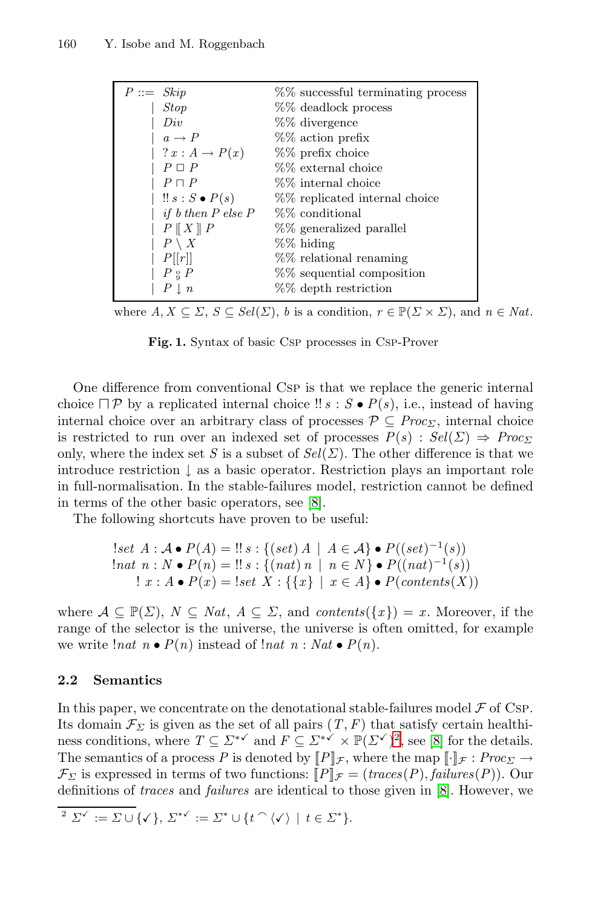| $P ::=$ Skip                       | %% successful terminating process |
|------------------------------------|-----------------------------------|
| <b>Stop</b>                        | %% deadlock process               |
| Div                                | %% divergence                     |
| $a \rightarrow P$                  | $%$ action prefix                 |
| ? $x : A \rightarrow P(x)$         | $%$ prefix choice                 |
| $P \square P$                      | %% external choice                |
| $P \sqcap P$                       | %% internal choice                |
| $\mathop{!}!s:S\bullet P(s)$       | %% replicated internal choice     |
| if $b$ then $P$ else $P$           | %% conditional                    |
| $P \parallel X \parallel P$        | %% generalized parallel           |
| $P \setminus X$                    | $%$ % hiding                      |
| P[ r ]                             | %% relational renaming            |
| $P \, \overset{\circ}{\circ} \, P$ | %% sequential composition         |
| $\lfloor n \rfloor$                | %% depth restriction              |

<span id="page-2-0"></span>where  $A, X \subseteq \Sigma, S \subseteq Sel(\Sigma), b$  is a condition,  $r \in \mathbb{P}(\Sigma \times \Sigma)$ , and  $n \in Nat$ .

**Fig. 1.** Syntax of basic Csp processes in Csp-Prover

One difference from conventional Csp is that we replace the generic internal choice  $\Box \mathcal{P}$  by a replicated internal choice !!  $s : S \bullet P(s)$ , i.e., instead of having internal choice over an arbitrary class of processes  $P \subseteq \text{Proc}_{\Sigma}$ , internal choice is restricted to run over an indexed set of processes  $P(s)$ :  $Sel(\Sigma) \Rightarrow Proc_{\Sigma}$ only, where the index set S is a subset of  $Sel(\Sigma)$ . The other difference is that we introduce restriction ↓ as a basic operator. Restriction plays an important role in full-normalisation. In the stable-failures model, restriction cannot be defined in terms of the other basic operators, see [\[8\]](#page-14-1).

The following shortcuts have proven to be useful:

*1set A* : 
$$
A \cdot P(A) =
$$
!! *s* : {*set A* | *A* ∈ *A*}  $\cdot P((set)^{-1}(s))$   
*1nat n* :  $N \cdot P(n) =$ !! *s* : {*nat* | *n* | *n* ∈ *N*}  $\cdot P((nat)^{-1}(s))$   
*1 x* : *A*  $\cdot P(x) =$ ! *set X* : {*x*} | *x* ∈ *A*}  $\cdot P(contents(X))$ 

where  $A \subseteq \mathbb{P}(\Sigma)$ ,  $N \subseteq Nat$ ,  $A \subseteq \Sigma$ , and contents( $\{x\}$ ) = x. Moreover, if the range of the selector is the universe, the universe is often omitted, for example we write  $!nat \; n \bullet P(n)$  instead of  $!nat \; n : Nat \bullet P(n)$ .

#### **2.2 Semantics**

In this paper, we concentrate on the denotational stable-failures model  $\mathcal F$  of Csp. Its domain  $\mathcal{F}_{\Sigma}$  is given as the set of all pairs  $(T, F)$  that satisfy certain healthiness conditions, where  $T \subseteq \Sigma^{*\checkmark}$  and  $F \subseteq \Sigma^{*\checkmark} \times \mathbb{P}(\Sigma^{\checkmark})^2$  $F \subseteq \Sigma^{*\checkmark} \times \mathbb{P}(\Sigma^{\checkmark})^2$ , see [\[8\]](#page-14-1) for the details. The semantics of a process P is denoted by  $[ P ]_{\mathcal{F}}$ , where the map  $[ \cdot ]_{\mathcal{F}} : Proc_{\Sigma} \to$  $\mathcal{F}_{\Sigma}$  is expressed in terms of two functions:  $[P]_{\mathcal{F}} = (traces(P), failures(P)).$  Our definitions of traces and failures are identical to those given in [\[8\]](#page-14-1). However, we

<span id="page-2-1"></span><sup>2</sup> 
$$
\Sigma^{\checkmark}
$$
 :=  $\Sigma \cup \{\checkmark\}, \Sigma^{*\checkmark}$  :=  $\Sigma^* \cup \{t \cap \langle \checkmark \rangle \mid t \in \Sigma^*\}.$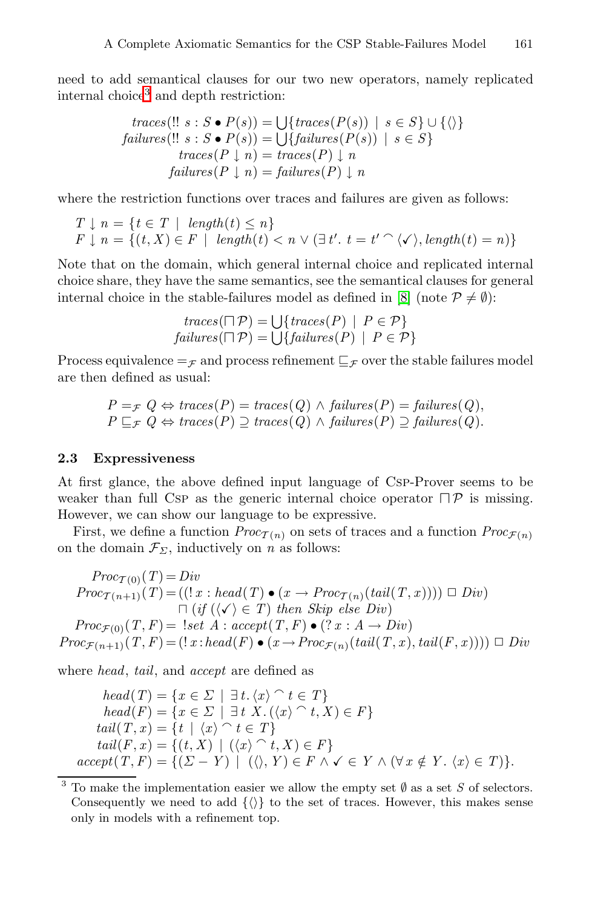need to add semantical clauses for our two new operators, namely replicated internal choice<sup>[3](#page-3-0)</sup> and depth restriction:

$$
traces(!! s : S \bullet P(s)) = \bigcup \{traces(P(s)) \mid s \in S\} \cup \{\langle\rangle\}
$$
  
failures(!! s : S \bullet P(s)) = \bigcup \{failures(P(s)) \mid s \in S\}  
traces(P \downarrow n) = traces(P) \downarrow n  
failures(P \downarrow n) = failures(P) \downarrow n

where the restriction functions over traces and failures are given as follows:

$$
T \downarrow n = \{ t \in T \mid \text{ length}(t) \le n \}
$$
  

$$
F \downarrow n = \{ (t, X) \in F \mid \text{ length}(t) < n \lor (\exists t'. t = t' \land \langle \checkmark \rangle, \text{length}(t) = n) \}
$$

Note that on the domain, which general internal choice and replicated internal choice share, they have the same semantics, see the semantical clauses for general internal choice in the stable-failures model as defined in [\[8\]](#page-14-1) (note  $\mathcal{P} \neq \emptyset$ ):

$$
traces(\sqcap P) = \bigcup \{traces(P) \mid P \in P\}
$$
  

$$
failures(\sqcap P) = \bigcup \{failures(P) \mid P \in P\}
$$

Process equivalence  $=\mathcal{F}$  and process refinement  $\mathcal{F}$  over the stable failures model are then defined as usual:

$$
P =_{\mathcal{F}} Q \Leftrightarrow traces(P) = traces(Q) \land failures(P) = failures(Q),
$$
  

$$
P \sqsubseteq_{\mathcal{F}} Q \Leftrightarrow traces(P) \supseteq traces(Q) \land failures(P) \supseteq failures(Q).
$$

#### **2.3 Expressiveness**

At first glance, the above defined input language of Csp-Prover seems to be weaker than full Csp as the generic internal choice operator  $\Box \mathcal{P}$  is missing. However, we can show our language to be expressive.

First, we define a function  $Proc_{\mathcal{T}(n)}$  on sets of traces and a function  $Proc_{\mathcal{F}(n)}$ on the domain  $\mathcal{F}_{\Sigma}$ , inductively on *n* as follows:

$$
Proc_{T(0)}(T) = Div
$$
  
\n
$$
Proc_{T(n+1)}(T) = ((! x : head(T) \bullet (x \to Proc_{T(n)}(tail(T, x)))) \square Div)
$$
  
\n
$$
\square (if (\langle \checkmark \rangle \in T) then Skip else Div)
$$
  
\n
$$
Proc_{F(0)}(T, F) = !set A : accept(T, F) \bullet (? x : A \to Div)
$$
  
\n
$$
Proc_{F(n+1)}(T, F) = (! x : head(F) \bullet (x \to Proc_{F(n)}(tail(T, x), tail(F, x)))) \square Div
$$

where *head*, tail, and *accept* are defined as

$$
head(T) = \{x \in \Sigma \mid \exists t. \langle x \rangle \cap t \in T\}
$$
  
\n
$$
head(F) = \{x \in \Sigma \mid \exists t \ X. (\langle x \rangle \cap t, X) \in F\}
$$
  
\n
$$
tail(T, x) = \{t \mid \langle x \rangle \cap t \in T\}
$$
  
\n
$$
tail(F, x) = \{(t, X) \mid (\langle x \rangle \cap t, X) \in F\}
$$
  
\n
$$
accept(T, F) = \{(\Sigma - Y) \mid (\langle \rangle, Y) \in F \land \checkmark \in Y \land (\forall x \notin Y. \langle x \rangle \in T)\}.
$$

<span id="page-3-0"></span> $^3$  To make the implementation easier we allow the empty set  $\emptyset$  as a set  $S$  of selectors. Consequently we need to add  $\{\langle\rangle\}$  to the set of traces. However, this makes sense only in models with a refinement top.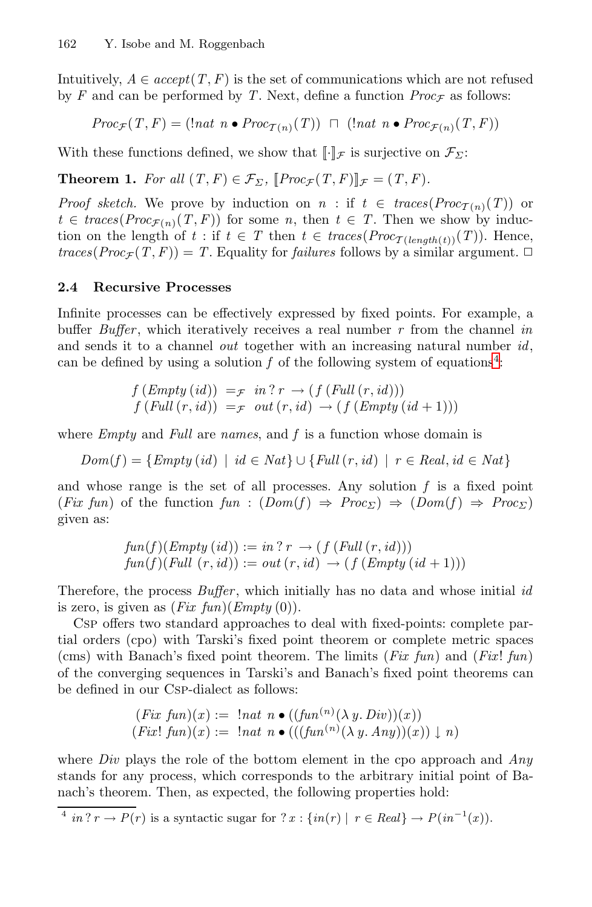Intuitively,  $A \in accept(T, F)$  is the set of communications which are not refused by F and can be performed by T. Next, define a function  $Proc_{\mathcal{F}}$  as follows:

 $Proc_{\mathcal{F}}(T, F) = ($ lnat n •  $Proc_{\mathcal{F}(n)}(T)) \ \sqcap \ ($ lnat n •  $Proc_{\mathcal{F}(n)}(T, F))$ 

<span id="page-4-0"></span>With these functions defined, we show that  $\llbracket \cdot \rrbracket_{\mathcal{F}}$  is surjective on  $\mathcal{F}_{\Sigma}$ :

**Theorem 1.** For all  $(T, F) \in \mathcal{F}_{\Sigma}$ ,  $[Proc_{\mathcal{F}}(T, F)]_{\mathcal{F}} = (T, F)$ .

*Proof sketch.* We prove by induction on  $n$ : if  $t \in traces(Proc_{T(n)}(T))$  or  $t \in \text{traces}(Proc_{\mathcal{F}(n)}(T, F))$  for some n, then  $t \in T$ . Then we show by induction on the length of  $t :$  if  $t \in T$  then  $t \in trace(Proc_{\mathcal{T}(length(t))}(T))$ . Hence,  $traces(Proc_{\mathcal{F}}(T, F)) = T$ . Equality for *failures* follows by a similar argument.  $\Box$ 

### **2.4 Recursive Processes**

Infinite processes can be effectively expressed by fixed points. For example, a buffer *Buffer*, which iteratively receives a real number  $r$  from the channel in and sends it to a channel *out* together with an increasing natural number id, can be defined by using a solution f of the following system of equations<sup>[4](#page-4-1)</sup>:

$$
f\left(Empty\left(id\right)\right) =_{\mathcal{F}} in ? r \rightarrow (f\left(Full\left(r, id\right)\right))
$$

$$
f\left(Full\left(r, id\right)\right) =_{\mathcal{F}} out\left(r, id\right) \rightarrow (f\left(Empty\left(id + 1\right)\right))
$$

where *Empty* and *Full* are *names*, and  $f$  is a function whose domain is

 $Dom(f) = \{Empty(id) \mid id \in Nat\} \cup \{Full(r, id) \mid r \in Real, id \in Nat\}$ 

and whose range is the set of all processes. Any solution  $f$  is a fixed point  $(Fix \, fun)$  of the function  $fun : (Dom(f) \Rightarrow Proc_{\Sigma}) \Rightarrow (Dom(f) \Rightarrow Proc_{\Sigma})$ given as:

$$
fun(f)(Empty(id)) := in ?r \rightarrow (f(Full(r, id)))
$$
  

$$
fun(f)(Full(r, id)) := out(r, id) \rightarrow (f(Empty(id + 1)))
$$

Therefore, the process  $Buffer$ , which initially has no data and whose initial id is zero, is given as  $(Fix \, fun)(Empty(0)).$ 

Csp offers two standard approaches to deal with fixed-points: complete partial orders (cpo) with Tarski's fixed point theorem or complete metric spaces (cms) with Banach's fixed point theorem. The limits  $(Fix \, fun)$  and  $(Fix \, fun)$ of the converging sequences in Tarski's and Banach's fixed point theorems can be defined in our Csp-dialect as follows:

(Fix fun)(x) := !nat n 
$$
\bullet
$$
 ((fun<sup>(n)</sup>( $\lambda$  y. Div))(x))  
(Fix! fun)(x) := !nat n  $\bullet$  (((fun<sup>(n)</sup>( $\lambda$  y. Any))(x))  $\downarrow$  n)

where  $Div$  plays the role of the bottom element in the cpo approach and  $Any$ stands for any process, which corresponds to the arbitrary initial point of Banach's theorem. Then, as expected, the following properties hold:

```
<sup>4</sup> in ? r \to P(r) is a syntactic sugar for ? x : \{in(r) \mid r \in Real\} \to P(in^{-1}(x)).
```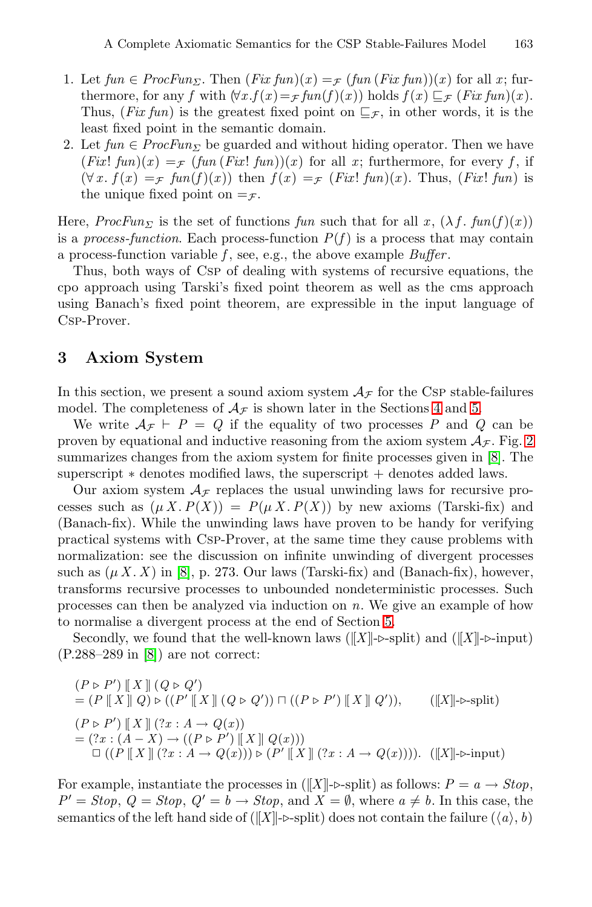- 1. Let  $fun \in ProcFun_{\Sigma}$ . Then  $(Fix fun)(x) =_{\mathcal{F}} (fun (Fix fun))(x)$  for all x; furthermore, for any f with  $(\forall x . f(x) = \tau \text{ fun}(f)(x))$  holds  $f(x) \sqsubseteq \tau$  (Fix fun)(x). Thus, (Fix fun) is the greatest fixed point on  $\mathbb{Z}_{\mathcal{F}}$ , in other words, it is the least fixed point in the semantic domain.
- 2. Let  $fun \in ProcFun_{\Sigma}$  be guarded and without hiding operator. Then we have  $(Fix! \, fun)(x) =_{\mathcal{F}} (fun (Fix! \, fun))(x)$  for all x; furthermore, for every f, if  $(\forall x. f(x) = \tau \, \text{fun}(f)(x))$  then  $f(x) = \tau \, \text{(Fix! fun})(x)$ . Thus,  $(\text{Fix! fun})$  is the unique fixed point on  $=\mathcal{F}$ .

Here,  $ProcFun_{\Sigma}$  is the set of functions fun such that for all x,  $(\lambda f. fun(f)(x))$ is a process-function. Each process-function  $P(f)$  is a process that may contain a process-function variable  $f$ , see, e.g., the above example *Buffer*.

Thus, both ways of Csp of dealing with systems of recursive equations, the cpo approach using Tarski's fixed point theorem as well as the cms approach using Banach's fixed point theorem, are expressible in the input language of Csp-Prover.

#### <span id="page-5-0"></span>**3 Axiom System**

In this section, we present a sound axiom system  $A_{\mathcal{F}}$  for the Csp stable-failures model. The completeness of  $\mathcal{A}_{\mathcal{F}}$  is shown later in the Sections [4](#page-7-0) and [5.](#page-9-0)

We write  $A_{\mathcal{F}} \vdash P = Q$  if the equality of two processes P and Q can be proven by equational and inductive reasoning from the axiom system  $A_{\mathcal{F}}$ . Fig. [2](#page-6-0) summarizes changes from the axiom system for finite processes given in [\[8\]](#page-14-1). The superscript  $*$  denotes modified laws, the superscript + denotes added laws.

Our axiom system  $A_{\mathcal{F}}$  replaces the usual unwinding laws for recursive processes such as  $(\mu X. P(X)) = P(\mu X. P(X))$  by new axioms (Tarski-fix) and (Banach-fix). While the unwinding laws have proven to be handy for verifying practical systems with Csp-Prover, at the same time they cause problems with normalization: see the discussion on infinite unwinding of divergent processes such as  $(\mu X. X)$  in [\[8\]](#page-14-1), p. 273. Our laws (Tarski-fix) and (Banach-fix), however, transforms recursive processes to unbounded nondeterministic processes. Such processes can then be analyzed via induction on n. We give an example of how to normalise a divergent process at the end of Section [5.](#page-9-0)

Secondly, we found that the well-known laws  $(\|X\| \rightarrow \text{split})$  and  $(\|X\| \rightarrow \text{input})$ (P.288–289 in [\[8\]](#page-14-1)) are not correct:

$$
(P \triangleright P') \|[X]\|(Q \triangleright Q')
$$
  
=  $(P \|[X]\|Q) \triangleright ((P' \|[X]\| (Q \triangleright Q')) \sqcap ((P \triangleright P') \|[X]\| Q'))$ ,  $([[X]\triangleright \neg \text{split})$   
 $(P \triangleright P') \|[X]\|(?x : A \to Q(x))$   
=  $(?x : (A - X) \to ((P \triangleright P') \|[X]\| Q(x)))$   
 $\Box ((P \|[X]\|(?x : A \to Q(x))) \triangleright (P' \|[X]\|(?x : A \to Q(x)))))$ . ([[X]\triangleright \neg \text{input})

For example, instantiate the processes in ( $\|X\|$ - $\triangleright$ -split) as follows:  $P = a \rightarrow Stop$ ,  $P' = Stop$ ,  $Q = Stop$ ,  $Q' = b \rightarrow Stop$ , and  $X = \emptyset$ , where  $a \neq b$ . In this case, the semantics of the left hand side of ( $[[X]]\rightarrow$ -split) does not contain the failure  $(\langle a \rangle, b)$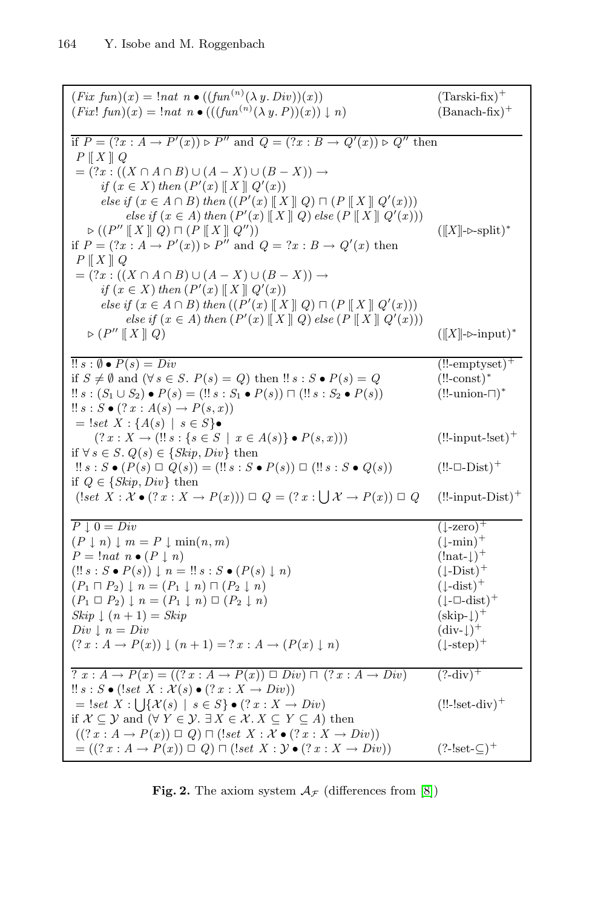| $(Fix \, fun)(x) = !nat \, n \bullet ((fun^{(n)}(\lambda y. Div))(x))$<br>$(Fix! \, fun)(x) = !nat \, n \bullet (((fun^{(n)}(\lambda y. P))(x)) \downarrow n)$                                                                                                                                                                                                                                                                                                                                                                                                                                                                                                                                               | $(Tarski-fix)^+$<br>$(Banach-fix)^+$                                                                                                                                                                                                                                                                                |
|--------------------------------------------------------------------------------------------------------------------------------------------------------------------------------------------------------------------------------------------------------------------------------------------------------------------------------------------------------------------------------------------------------------------------------------------------------------------------------------------------------------------------------------------------------------------------------------------------------------------------------------------------------------------------------------------------------------|---------------------------------------------------------------------------------------------------------------------------------------------------------------------------------------------------------------------------------------------------------------------------------------------------------------------|
| if $P = (?x : A \rightarrow P'(x)) \triangleright P''$ and $Q = (?x : B \rightarrow Q'(x)) \triangleright Q''$ then<br>P[[X]]Q<br>$= (?x : ((X \cap A \cap B) \cup (A - X) \cup (B - X)) \rightarrow$<br>if $(x \in X)$ then $(P'(x) \parallel X \parallel Q'(x))$<br>else if $(x \in A \cap B)$ then $((P'(x) \parallel X \parallel Q) \sqcap (P \parallel X \parallel Q'(x)))$<br>else if $(x \in A)$ then $(P'(x) \parallel X \parallel Q)$ else $(P \parallel X \parallel Q'(x)))$<br>$\triangleright ((P'' \, \  \, X \, \  \, Q) \sqcap (P \, \  \, X \, \  \, Q''))$<br>if $P = (?x : A \rightarrow P'(x)) \triangleright P''$ and $Q = ?x : B \rightarrow Q'(x)$ then<br>$P \parallel X \parallel Q$ | $(\Vert X \Vert \text{-}\rightarrow \text{-split})^*$                                                                                                                                                                                                                                                               |
| $=(?x:((X \cap A \cap B) \cup (A - X) \cup (B - X)) \rightarrow$<br>if $(x \in X)$ then $(P'(x) \  X \  Q'(x))$<br>else if $(x \in A \cap B)$ then $((P'(x) \parallel X \parallel Q) \sqcap (P \parallel X \parallel Q'(x)))$<br>else if $(x \in A)$ then $(P'(x) \parallel X \parallel Q)$ else $(P \parallel X \parallel Q'(x)))$<br>$\triangleright (P'' \parallel X \parallel Q)$                                                                                                                                                                                                                                                                                                                        | $(\Vert X \Vert \text{-}\rightarrow \text{input})^*$                                                                                                                                                                                                                                                                |
| $\mathop{!}!s:\emptyset \bullet P(s) = Div$<br>if $S \neq \emptyset$ and $(\forall s \in S. P(s) = Q)$ then $\exists s : S \bullet P(s) = Q$<br>$\mathbb{I}: s : (S_1 \cup S_2) \bullet P(s) = (\mathbb{I}: s : S_1 \bullet P(s)) \sqcap (\mathbb{I}: s : S_2 \bullet P(s))$<br>$\exists s : S \bullet (? x : A(s) \rightarrow P(s, x))$<br>$= !set X : \{A(s)   s \in S\}$                                                                                                                                                                                                                                                                                                                                  | $(!!-empty set)^+$<br>$(!!\text{-const})^*$<br>$(!!\text{-union-}\sqcap)^*$                                                                                                                                                                                                                                         |
| $(? x : X \rightarrow (!! s : \{s \in S \mid x \in A(s)\} \bullet P(s,x)))$<br>if $\forall s \in S$ . $Q(s) \in \{ Skip, Div\}$ then                                                                                                                                                                                                                                                                                                                                                                                                                                                                                                                                                                         | $(!!-input-!set)^+$                                                                                                                                                                                                                                                                                                 |
| $\mathbb{I}: s : S \bullet (P(s) \sqcup Q(s)) = (\mathbb{I}: s : S \bullet P(s)) \sqcup (\mathbb{I}: s : S \bullet Q(s))$<br>if $Q \in \{ Skip, Div\}$ then<br>$(!set X : \mathcal{X} \bullet (? x : X \to P(x))) \square Q = (? x : \bigcup \mathcal{X} \to P(x)) \square Q$                                                                                                                                                                                                                                                                                                                                                                                                                                | $(!!$ - $\Box$ -Dist) <sup>+</sup><br>$(!!-input-Dist)^+$                                                                                                                                                                                                                                                           |
| $P \downarrow 0 = Div$<br>$(P \downarrow n) \downarrow m = P \downarrow \min(n, m)$<br>$P = !nat \; n \bullet (P \downarrow n)$<br>$(!! s : S \bullet P(s)) \downarrow n =!! s : S \bullet (P(s) \downarrow n)$<br>$(P_1 \sqcap P_2) \downarrow n = (P_1 \downarrow n) \sqcap (P_2 \downarrow n)$<br>$(P_1 \square P_2) \downarrow n = (P_1 \downarrow n) \square (P_2 \downarrow n)$<br>$\mathit{Skip} \downarrow (n+1) = \mathit{Skip}$<br>$Div \downarrow n = Div$<br>$(?x:A\rightarrow P(x))\downarrow (n+1)=?x:A\rightarrow (P(x)\downarrow n)$                                                                                                                                                         | $(\downarrow$ -zero) <sup>+</sup><br>$(\downarrow$ -min) <sup>+</sup><br>$(\text{nat-}\downarrow)^+$<br>$(\downarrow$ -Dist) <sup>+</sup><br>$(\downarrow$ -dist) <sup>+</sup><br>$(\downarrow$ - $\Box$ -dist) <sup>+</sup><br>$(\text{skip-1})^+$<br>$(\text{div-}\downarrow)^+$<br>$(\downarrow \text{-step})^+$ |
| $? x : A \rightarrow P(x) = ((? x : A \rightarrow P(x)) \square Div) \sqcap (? x : A \rightarrow Div)$<br>$\exists s : S \bullet (\text{!} s \in X : \mathcal{X}(s) \bullet (\text{?} x : X \to Div))$                                                                                                                                                                                                                                                                                                                                                                                                                                                                                                       | $(?\text{-div})^+$                                                                                                                                                                                                                                                                                                  |
| $=$ !set $X:\bigcup\{\mathcal{X}(s) \mid s\in S\} \bullet (? x : X \to Div)$<br>if $X \subseteq Y$ and $(\forall Y \in Y, \exists X \in \mathcal{X}, X \subseteq Y \subseteq A)$ then<br>$((?x:A \rightarrow P(x)) \square Q) \sqcap (!set X : \mathcal{X} \bullet (?x : X \rightarrow Div))$<br>$= ((? x : A \rightarrow P(x)) \square Q) \sqcap (!set X : Y \bullet (? x : X \rightarrow Div))$                                                                                                                                                                                                                                                                                                            | $(!!$ -!set-div) <sup>+</sup><br>$($ ?-!set- $\subseteq$ ) <sup>+</sup>                                                                                                                                                                                                                                             |

<span id="page-6-0"></span>Fig. 2. The axiom system  $A_{\mathcal{F}}$  (differences from [\[8\]](#page-14-1))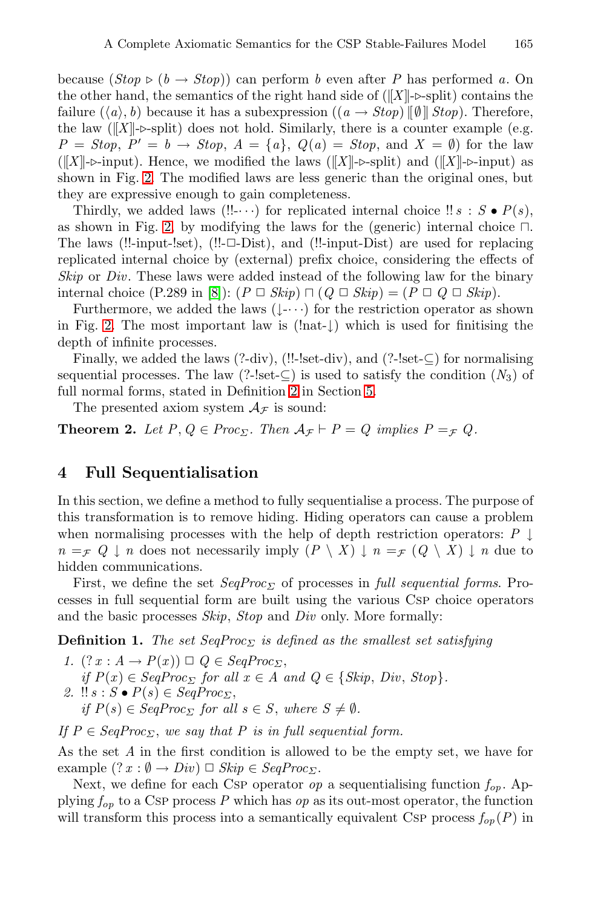because  $(Stop \triangleright (b \rightarrow Stop))$  can perform b even after P has performed a. On the other hand, the semantics of the right hand side of  $(\Vert X \Vert_{\neg} \rightarrow \text{split})$  contains the failure  $(\langle a \rangle, b)$  because it has a subexpression  $((a \rightarrow Stop) \|\emptyset\| Stop)$ . Therefore, the law  $(\|X\|)$ --split) does not hold. Similarly, there is a counter example (e.g.  $P = Stop, P' = b \rightarrow Stop, A = \{a\}, Q(a) = Stop, \text{ and } X = \emptyset$  for the law ( $||X||$ - $\triangleright$ -input). Hence, we modified the laws ( $||X||$ - $\triangleright$ -split) and ( $||X||$ - $\triangleright$ -input) as shown in Fig. [2.](#page-6-0) The modified laws are less generic than the original ones, but they are expressive enough to gain completeness.

Thirdly, we added laws  $(!!\cdots)$  for replicated internal choice  $!! s : S \bullet P(s)$ , as shown in Fig. [2,](#page-6-0) by modifying the laws for the (generic) internal choice  $\Box$ . The laws ( $\text{!!-input-Set}$ ),  $\text{!!!-}\square\text{-Dist}$ ), and ( $\text{!!-input-Dist}$ ) are used for replacing replicated internal choice by (external) prefix choice, considering the effects of Skip or Div. These laws were added instead of the following law for the binary internal choice (P.289 in [\[8\]](#page-14-1)):  $(P \square Skip) \square (Q \square Skip) = (P \square Q \square Skip).$ 

Furthermore, we added the laws  $($ ... $)$  for the restriction operator as shown in Fig. [2.](#page-6-0) The most important law is  $(\text{nat-}\downarrow)$  which is used for finitising the depth of infinite processes.

Finally, we added the laws (?-div),  $(!!$ -!set-div), and (?-!set- $\subseteq$ ) for normalising sequential processes. The law (?-!set- $\subseteq$ ) is used to satisfy the condition  $(N_3)$  of full normal forms, stated in Definition [2](#page-9-1) in Section [5.](#page-9-0)

The presented axiom system  $\mathcal{A}_{\mathcal{F}}$  is sound:

<span id="page-7-1"></span>**Theorem 2.** Let  $P, Q \in Proc_{\Sigma}$ . Then  $\mathcal{A}_{\mathcal{F}} \vdash P = Q$  implies  $P =_{\mathcal{F}} Q$ .

#### <span id="page-7-0"></span>**4 Full Sequentialisation**

In this section, we define a method to fully sequentialise a process. The purpose of this transformation is to remove hiding. Hiding operators can cause a problem when normalising processes with the help of depth restriction operators:  $P \downarrow$  $n = \mathcal{F} \mathcal{Q} \perp n$  does not necessarily imply  $(P \setminus X) \perp n = \mathcal{F} \mathcal{Q} \setminus X \perp n$  due to hidden communications.

First, we define the set  $SeqProc_{\Sigma}$  of processes in full sequential forms. Processes in full sequential form are built using the various Csp choice operators and the basic processes *Skip*, *Stop* and *Div* only. More formally:

**Definition 1.** The set  $SeqProc<sub>\Sigma</sub>$  is defined as the smallest set satisfying

1.  $(?x:A \rightarrow P(x)) \square Q \in SeqProc_{\Sigma},$ if  $P(x) \in SeqProc_{\Sigma}$  for all  $x \in A$  and  $Q \in \{ Skip, Div, Stop\}.$ 2.  $\exists s : S \bullet P(s) \in \text{SeqProc}_{\Sigma},$ if  $P(s) \in \text{SeqProc}_{\Sigma}$  for all  $s \in S$ , where  $S \neq \emptyset$ .

If  $P \in \text{SeqProc}_{\Sigma}$ , we say that P is in full sequential form.

As the set A in the first condition is allowed to be the empty set, we have for example  $(?x : \emptyset \rightarrow Div) \square$  Skip  $\in SeqProc_{\Sigma}$ .

Next, we define for each Csp operator  $op$  a sequentialising function  $f_{op}$ . Applying  $f_{op}$  to a CsP process P which has  $op$  as its out-most operator, the function will transform this process into a semantically equivalent Csp process  $f_{op}(P)$  in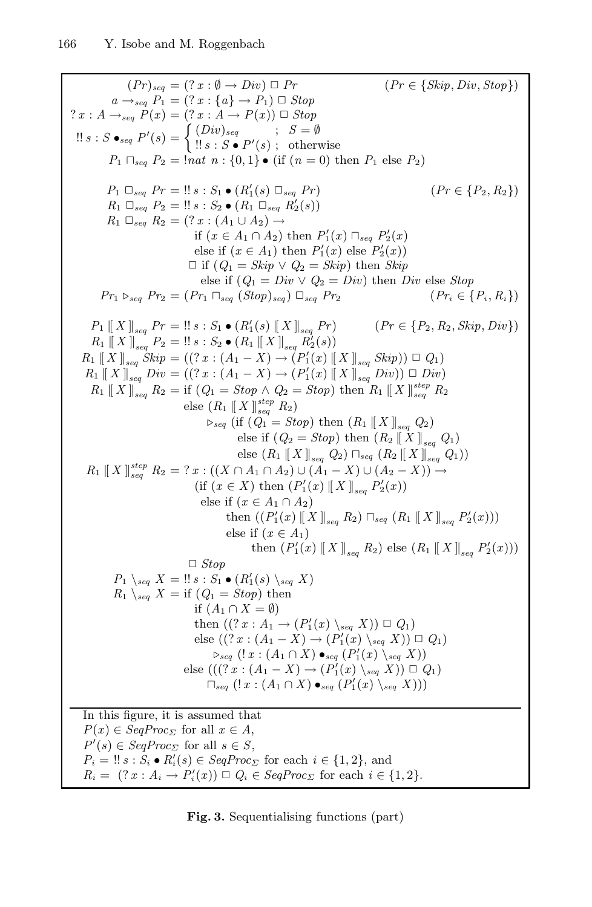$$
(Pr)_{seq} = (? x : 0 → Div) ∎ Pr
$$
\n
$$
a →_{seq} P_1 = (? x : \{a\} → P_1) ∩ Stop
$$
\n
$$
? x : A →_{seq} P(x) = (? x : A → P(x)) ∩ Stop
$$
\n
$$
? x : A →_{seq} P(x) = (? x : A → P(x)) ∩ Stop
$$
\n
$$
1. s : S →_{seq} P'(s) = \{ (Div)_{seq} : S = 0
$$
\n
$$
P_1 ∩_{seq} P_2 = !nat n : \{0, 1\} → (if (n = 0) then P_1 else P_2)
$$
\n
$$
P_1 ∩_{seq} P_2 = !nat n : \{0, 1\} → (if (n = 0) then P_1 else P_2)
$$
\n
$$
P_1 ∩_{seq} P_2 = !nst s : S₂ → (R_1 ∪_{seq} R_2'(s))
$$
\n
$$
R_1 ∪_{seq} P_2 = !nst s : S₂ → (R_1 ∩_{seq} R_2'(s))
$$
\n
$$
R_1 ∃_{seq} P_2 = !nst s : S₂ → (R_1 ∆_{seq} R_2(s))
$$
\n
$$
1. if (Q = A) then P_1'(x) else P_2'(x)
$$
\n
$$
1. if (Q = A) then P_1'(x) else P_2'(x)
$$
\n
$$
1. if (Q = B) in V Q_2 = D in) then Skip
$$
\n
$$
P_1 ∼_{seq} P_2 = (P_1 ∩_{seq} (Stop) )_{seq} ∩_{seq} P_2
$$
\n
$$
P_1 ∩_{seq} P_2 = !nst s : S₂ → (R_1 || X ||_{seq} P_2)
$$
\n
$$
P_1 || X ||_{seq} P_2 = !nst s : S₂ → (R_1 || X ||_{seq} R_2'(s))
$$
\n
$$
R_1 || X ||_{seq} P_2 = !nst s : S₂ → (R_1 || X ||_{seq} R_2'(s))
$$
\n
$$
R_1 || X ||_{seq} P_2 = !nst s : S₂ → (R_1 || X ||_{seq} R_2'(s))
$$
\n
$$
R_1 || X ||_{seq} R_2 = !nst s : (R_1 || X ||_{
$$

<span id="page-8-0"></span>**Fig. 3.** Sequentialising functions (part)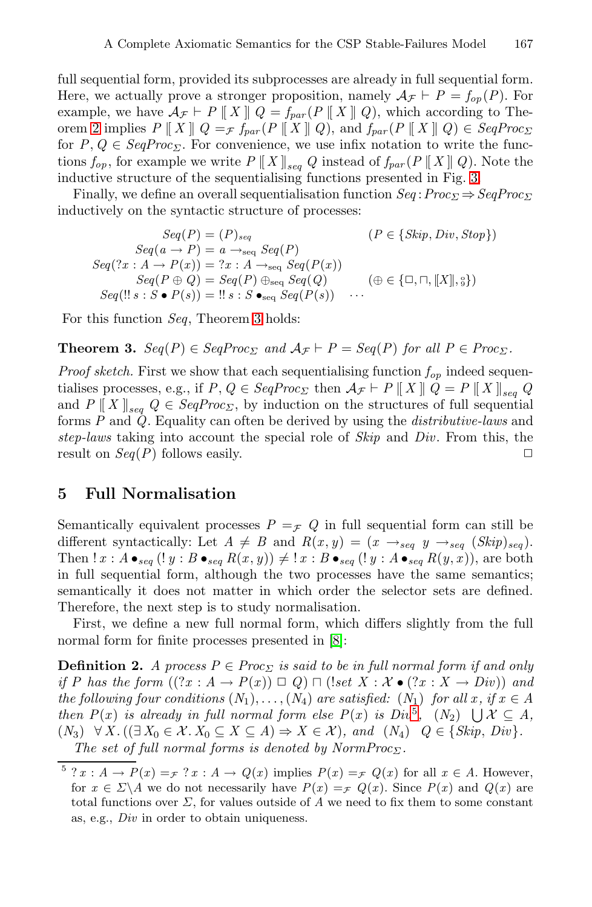full sequential form, provided its subprocesses are already in full sequential form. Here, we actually prove a stronger proposition, namely  $A_{\mathcal{F}} \vdash P = f_{op}(P)$ . For example, we have  $\mathcal{A}_{\mathcal{F}} \vdash P \parallel X \parallel Q = f_{par}(P \parallel X \parallel Q)$ , which according to The-orem [2](#page-7-1) implies  $P \parallel X \parallel Q =_{\mathcal{F}} f_{par}(P \parallel X \parallel Q)$ , and  $f_{par}(P \parallel X \parallel Q) \in SeqProc_{\Sigma}$ for  $P, Q \in \text{SeqProc}_{\Sigma}$ . For convenience, we use infix notation to write the functions  $f_{op}$ , for example we write  $P[[X]]_{seq} Q$  instead of  $f_{par}(P[[X]] Q)$ . Note the inductive structure of the sequentialising functions presented in Fig. [3.](#page-8-0)

Finally, we define an overall sequentialisation function  $Seq : Proc_{\Sigma} \Rightarrow SeqProc_{\Sigma}$ inductively on the syntactic structure of processes:

$$
Seq(P) = (P)_{seq} \qquad (P \in \{Skip, Div, Stop\})
$$
  
\n
$$
Seq(a \rightarrow P) = a \rightarrow_{seq} Seq(P)
$$
  
\n
$$
Seq(?x : A \rightarrow P(x)) = ?x : A \rightarrow_{seq} Seq(P(x))
$$
  
\n
$$
Seq(P \oplus Q) = Seq(P) \oplus_{seq} Seq(Q) \qquad (\oplus \in \{\Box, \Box, [[X]], \Box\})
$$
  
\n
$$
Seq(!!s : S \bullet P(s)) = !!s : S \bullet_{seq} Seq(P(s)) \qquad \cdots
$$

For this function Seq, Theorem [3](#page-9-2) holds:

<span id="page-9-2"></span>**Theorem 3.**  $Seq(P) \in SeqProc_{\Sigma}$  and  $A_{\mathcal{F}} \vdash P = Seq(P)$  for all  $P \in Proc_{\Sigma}$ .

*Proof sketch.* First we show that each sequentialising function  $f_{op}$  indeed sequentialises processes, e.g., if  $P, Q \in SeqProc_{\Sigma}$  then  $\mathcal{A}_{\mathcal{F}} \vdash P \parallel X \parallel Q = P \parallel X \parallel_{seq} Q$ and  $P[[X]]_{seq} Q \in \text{SeqProc}_{\Sigma}$ , by induction on the structures of full sequential forms P and Q. Equality can often be derived by using the distributive-laws and step-laws taking into account the special role of *Skip* and *Div*. From this, the result on  $Seq(P)$  follows easily.  $\square$ 

#### <span id="page-9-0"></span>**5 Full Normalisation**

Semantically equivalent processes  $P = \mathcal{F}$  Q in full sequential form can still be different syntactically: Let  $A \neq B$  and  $R(x, y) = (x \rightarrow_{seq} y \rightarrow_{seq} (skip)_{seq}).$ Then  $x : A \bullet_{\text{seq}} (y : B \bullet_{\text{seq}} R(x, y)) \neq x : B \bullet_{\text{seq}} (y : A \bullet_{\text{seq}} R(y, x))$ , are both in full sequential form, although the two processes have the same semantics; semantically it does not matter in which order the selector sets are defined. Therefore, the next step is to study normalisation.

<span id="page-9-1"></span>First, we define a new full normal form, which differs slightly from the full normal form for finite processes presented in [\[8\]](#page-14-1):

**Definition 2.** A process  $P \in Proc_{\Sigma}$  is said to be in full normal form if and only if P has the form  $((?x : A \rightarrow P(x)) \square Q) \square$  (!set  $X : \mathcal{X} \bullet (?x : X \rightarrow Div)$ ) and the following four conditions  $(N_1),\ldots,(N_4)$  are satisfied:  $(N_1)$  for all x, if  $x \in A$ then  $P(x)$  is already in full normal form else  $P(x)$  is  $Div^5$  $Div^5$ ,  $(N_2) \cup \mathcal{X} \subseteq A$ ,  $(N_3) \quad \forall X. ((\exists X_0 \in \mathcal{X}, X_0 \subseteq X \subseteq A) \Rightarrow X \in \mathcal{X}), \text{ and } (N_4) \quad Q \in \{ \text{skip, Div} \}.$ The set of full normal forms is denoted by NormProc $_{\Sigma}$ .

<span id="page-9-3"></span><sup>&</sup>lt;sup>5</sup> ?  $x : A \to P(x) = \mathcal{F}$  ?  $x : A \to Q(x)$  implies  $P(x) = \mathcal{F} Q(x)$  for all  $x \in A$ . However, for  $x \in \Sigma \backslash A$  we do not necessarily have  $P(x) =_{\mathcal{F}} Q(x)$ . Since  $P(x)$  and  $Q(x)$  are total functions over  $\Sigma$ , for values outside of A we need to fix them to some constant as, e.g., Div in order to obtain uniqueness.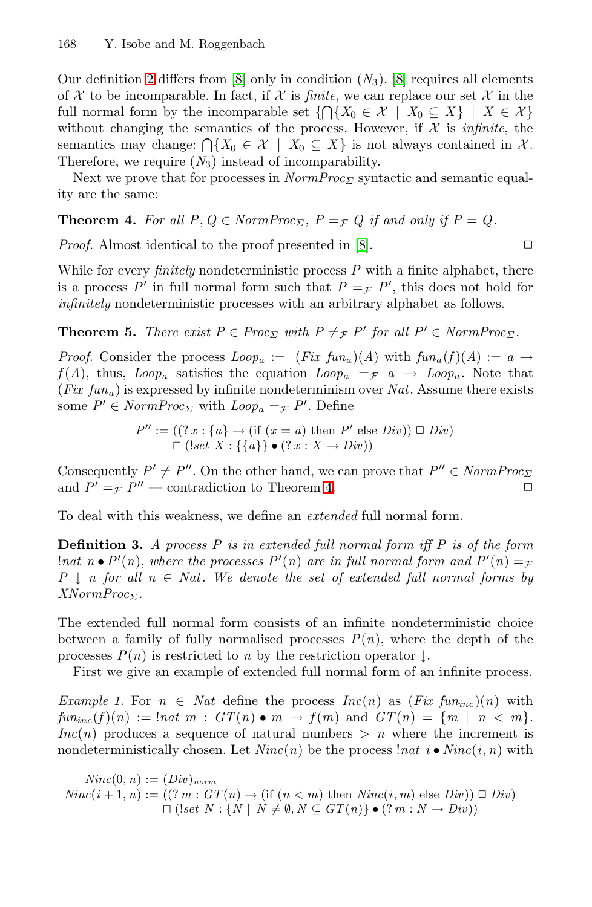Our definition [2](#page-9-1) differs from [\[8\]](#page-14-1) only in condition  $(N_3)$ . [8] requires all elements of  $X$  to be incomparable. In fact, if  $X$  is *finite*, we can replace our set  $X$  in the full normal form by the incomparable set  $\{\bigcap\{X_0 \in \mathcal{X} \mid X_0 \subseteq X\} \mid X \in \mathcal{X}\}\$ without changing the semantics of the process. However, if  $\mathcal X$  is *infinite*, the semantics may change:  $\bigcap \{X_0 \in \mathcal{X} \mid X_0 \subseteq X\}$  is not always contained in X. Therefore, we require  $(N_3)$  instead of incomparability.

<span id="page-10-0"></span>Next we prove that for processes in  $NormProc_{\Sigma}$  syntactic and semantic equality are the same:

**Theorem 4.** For all  $P, Q \in \text{NormProc}_{\Sigma}, P =_{\mathcal{F}} Q$  if and only if  $P = Q$ .

*Proof.* Almost identical to the proof presented in [\[8\]](#page-14-1).  $\Box$ 

While for every *finitely* nondeterministic process  $P$  with a finite alphabet, there is a process  $P'$  in full normal form such that  $P = \mathcal{F} P'$ , this does not hold for infinitely nondeterministic processes with an arbitrary alphabet as follows.

**Theorem 5.** There exist  $P \in Proc_{\Sigma}$  with  $P \neq_{\mathcal{F}} P'$  for all  $P' \in NormProc_{\Sigma}$ .

*Proof.* Consider the process  $Loop_a := (Fix~fun_a)(A)$  with  $fun_a(f)(A) := a \rightarrow$  $f(A)$ , thus,  $Loop_a$  satisfies the equation  $Loop_a =_{\mathcal{F}} a \rightarrow Loop_a$ . Note that (Fix  $fun_a$ ) is expressed by infinite nondeterminism over Nat. Assume there exists some  $P' \in NormProc_{\Sigma}$  with  $Loop_a =_{\mathcal{F}} P'$ . Define

$$
P'' := ((? x : \{a\}) \rightarrow (if (x = a) then P' else Div)) \square Div)
$$

$$
\square (!set X : \{\{a\}\} \bullet (? x : X \rightarrow Div))
$$

Consequently  $P' \neq P''$ . On the other hand, we can prove that  $P'' \in NormProc_{\Sigma}$ and  $P' = \mathcal{F} P''$  — contradiction to Theorem [4.](#page-10-0)

To deal with this weakness, we define an extended full normal form.

**Definition 3.** A process  $P$  is in extended full normal form iff  $P$  is of the form  $\text{ln}at\ n \bullet P'(n)$ , where the processes  $P'(n)$  are in full normal form and  $P'(n) =_{\mathcal{F}}$  $P \downarrow n$  for all  $n \in Nat$ . We denote the set of extended full normal forms by  $XNormProc_{\Sigma}$ .

The extended full normal form consists of an infinite nondeterministic choice between a family of fully normalised processes  $P(n)$ , where the depth of the processes  $P(n)$  is restricted to n by the restriction operator  $\downarrow$ .

First we give an example of extended full normal form of an infinite process.

*Example 1.* For  $n \in Nat$  define the process  $Inc(n)$  as  $(Fix \, fun_{inc})(n)$  with  $fun_{inc}(f)(n) := \text{Ind } m : GT(n) \bullet m \to f(m) \text{ and } GT(n) = \{m \mid n < m\}.$  $Inc(n)$  produces a sequence of natural numbers  $\geq n$  where the increment is nondeterministically chosen. Let  $Ninc(n)$  be the process  $!nat \, i \bullet Ninc(i, n)$  with

 $Ninc(0, n) := (Div)_{norm}$  $Ninc(i + 1, n) := ((? m : GT(n) \rightarrow (if (n < m) then Nine(i, m) else Div)) \square Div)$  $\sqcap (\text{Set } N : \{ N \mid N \neq \emptyset, N \subseteq GT(n) \} \bullet (? m : N \to Div))$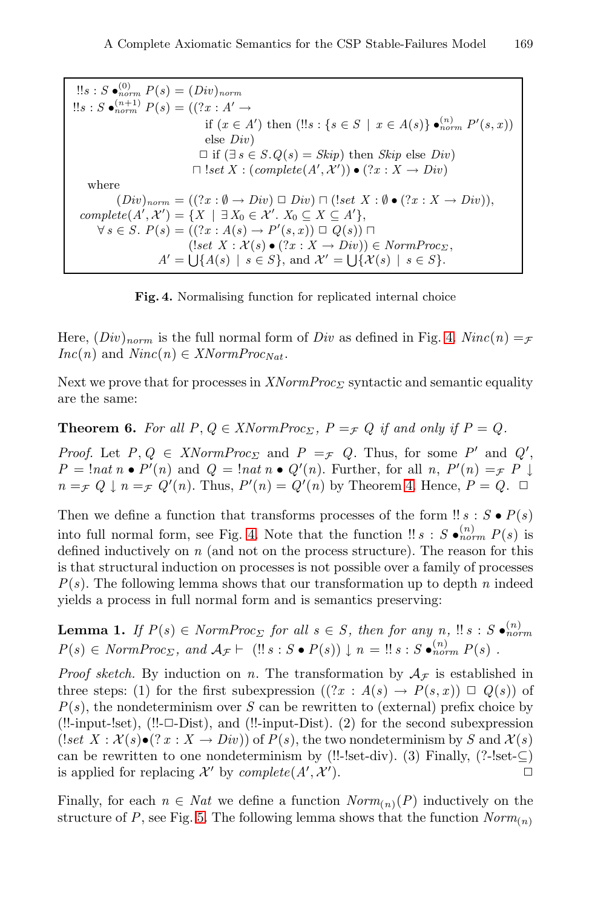$\mathit{!!s} : S \bullet_{norm}^{(0)} P(s) = (Div)_{norm}$  $\lim_{s \to \infty} S \bullet_{norm}^{(n+1)} P(s) = ((?x : A' \to$ if  $(x \in A')$  then  $(!!s : \{s \in S \mid x \in A(s)\}\bullet_{norm}^{(n)} P'(s,x))$ else Div)  $□$  if (∃ s ∈ S. $Q(s) =$  Skip) then Skip else Div)  $\sqcap$  !set  $X : (complete(A', \mathcal{X}')) \bullet (?x : X \to Div)$ where  $(Div)_{norm} = ((?x : \emptyset \rightarrow Div) \square Div) \sqcap (!set X : \emptyset \bullet (?x : X \rightarrow Div)),$  $complete(A', \mathcal{X}') = \{X \mid \exists X_0 \in \mathcal{X}' \colon X_0 \subseteq X \subseteq A'\},\$  $\forall s \in S$ .  $P(s) = ((?x : A(s) \rightarrow P'(s, x)) \square Q(s)) \square$  $(!set X : \mathcal{X}(s) \bullet (?x : X \rightarrow Div)) \in NormProc_{\Sigma},$  $A' = \bigcup \{A(s) \mid s \in S\},\$ and  $\mathcal{X}' = \bigcup \{\mathcal{X}(s) \mid s \in S\}.$ 



<span id="page-11-0"></span>Here,  $(Div)_{norm}$  is the full normal form of Div as defined in Fig. [4.](#page-11-0) Ninc(n) =  $\tau$  $Inc(n)$  and  $Ninc(n) \in XNormProc_{Nat}.$ 

<span id="page-11-2"></span>Next we prove that for processes in  $XNormProc_{\Sigma}$  syntactic and semantic equality are the same:

**Theorem 6.** For all  $P, Q \in XNormProc_{\Sigma}, P =_{\mathcal{F}} Q$  if and only if  $P = Q$ .

*Proof.* Let  $P, Q \in XNormProc_{\Sigma}$  and  $P =_{\mathcal{F}} Q$ . Thus, for some P' and Q',  $P = \text{ln}at n \bullet P'(n)$  and  $Q = \text{ln}at n \bullet Q'(n)$ . Further, for all n,  $P'(n) =_{\mathcal{F}} P \downarrow$  $n = \mathcal{F} \ Q \downarrow n = \mathcal{F} \ Q'(n)$ . Thus,  $P'(n) = Q'(n)$  by Theorem [4.](#page-10-0) Hence,  $P = Q$ .  $\Box$ 

Then we define a function that transforms processes of the form  $!! s : S \bullet P(s)$ into full normal form, see Fig. [4.](#page-11-0) Note that the function  $\mathsf{II} s : S \bullet_{norm}^{(n)} P(s)$  is defined inductively on  $n$  (and not on the process structure). The reason for this is that structural induction on processes is not possible over a family of processes  $P(s)$ . The following lemma shows that our transformation up to depth n indeed yields a process in full normal form and is semantics preserving:

<span id="page-11-1"></span>**Lemma 1.** If  $P(s) \in NormProc_{\Sigma}$  for all  $s \in S$ , then for any n,  $!! s : S \bullet_{norm}^{(n)}$  $P(s) \in \text{NormProc}_{\Sigma}, \text{ and } \mathcal{A}_{\mathcal{F}} \vdash (!! s : S \bullet P(s)) \downarrow n =!! s : S \bullet_{norm}^{(n)} P(s)$ .

*Proof sketch.* By induction on n. The transformation by  $A_{\mathcal{F}}$  is established in three steps: (1) for the first subexpression  $((?x : A(s) \rightarrow P(s,x)) \square Q(s))$  of  $P(s)$ , the nondeterminism over S can be rewritten to (external) prefix choice by  $(!!-input-!set), (!!-□-Dist), and (!!-input-Dist). (2) for the second subexpression$  $($ !set  $X : \mathcal{X}(s) \bullet (? x : X \to Div) )$  of  $P(s)$ , the two nondeterminism by S and  $\mathcal{X}(s)$ can be rewritten to one nondeterminism by  $(!!$ -lset-div). (3) Finally,  $(?\text{-}!set-\subset)$ is applied for replacing  $\mathcal{X}'$  by complete $(A', \mathcal{X}'')$ ).  $\qquad \qquad \Box$ 

Finally, for each  $n \in Nat$  we define a function  $Norm_{(n)}(P)$  inductively on the structure of P, see Fig. [5.](#page-12-0) The following lemma shows that the function  $Norm_{(n)}$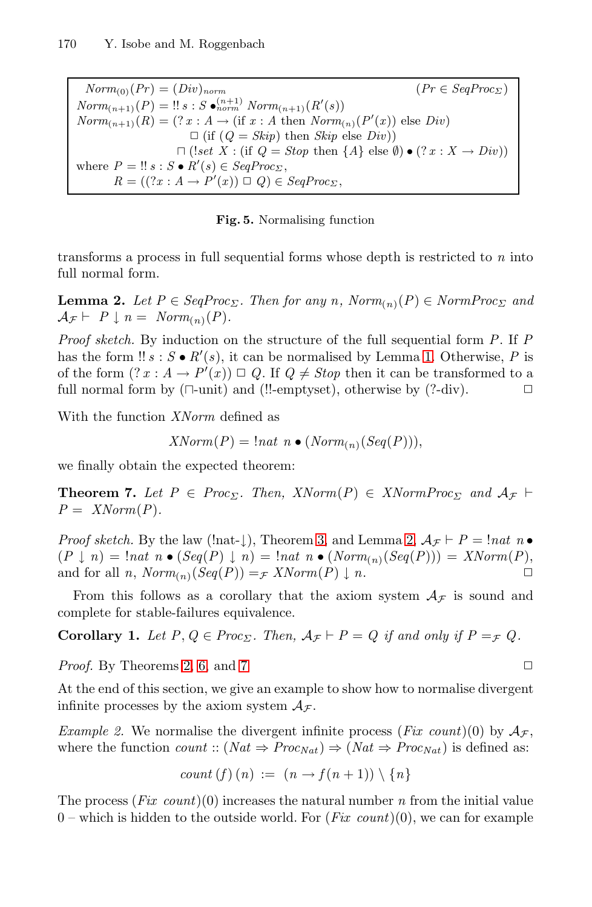$Norm_{(0)}(Pr) = (Div)_{norm}$  ( $Pr \in SeqProc_{\Sigma}$ )  $Norm_{(n+1)}(P) = \text{!! } s : S \bullet_{norm}^{(n+1)} Norm_{(n+1)}(R'(s))$  $Norm_{(n+1)}(R) = (?x : A \rightarrow (if x : A \text{ then } Norm_{(n)}(P'(x)) \text{ else } Div)$  $\Box$  (if  $(Q = Skip)$  then *Skip* else *Div*))  $\Box$  (!set X : (if  $Q = Stop$  then  $\{A\}$  else  $\emptyset$ ) •  $(?x : X \rightarrow Div))$ where  $P = \text{!! } s : S \bullet R'(s) \in \text{SeqProc}_{\Sigma}$ ,  $R = ((?x : A \rightarrow P'(x)) \square Q) \in SeqProc_{\Sigma},$ 

<span id="page-12-0"></span>**Fig. 5.** Normalising function

<span id="page-12-1"></span>transforms a process in full sequential forms whose depth is restricted to  $n$  into full normal form.

**Lemma 2.** Let  $P \in \text{SeqProc}_{\Sigma}$ . Then for any n,  $\text{Norm}_{(n)}(P) \in \text{NormProc}_{\Sigma}$  and  $\mathcal{A}_{\mathcal{F}}\vdash P\downarrow n = Norm_{(n)}(P).$ 

Proof sketch. By induction on the structure of the full sequential form P. If P has the form  $!! s : S \bullet R'(s)$ , it can be normalised by Lemma [1.](#page-11-1) Otherwise, P is of the form  $(?x:A \rightarrow P'(x)) \square Q$ . If  $Q \neq Stop$  then it can be transformed to a full normal form by  $(\Box$ -unit) and  $(!!$ -emptyset), otherwise by  $(?\text{-div})$ .

With the function XNorm defined as

<span id="page-12-2"></span>
$$
XNorm(P) = !nat \space n \bullet (Norm_{(n)}(Seq(P))),
$$

we finally obtain the expected theorem:

**Theorem 7.** Let  $P \in Proc_{\Sigma}$ . Then,  $XNorm(P) \in XNormProc_{\Sigma}$  and  $A_{\mathcal{F}}$  $P = XNorm(P).$ 

*Proof sketch.* By the law ( $\text{lnat-}\downarrow$ ), Theorem [3,](#page-9-2) and Lemma [2,](#page-12-1)  $\mathcal{A}_{\mathcal{F}} \vdash P = \text{lnat } n \bullet$  $(P \downarrow n) =$ !nat  $n \bullet (Seq(P) \downarrow n) =$ !nat  $n \bullet (Norm_{(n)}(Seq(P))) = XNorm(P),$ and for all n,  $Norm_{(n)}(Seq(P)) =_{\mathcal{F}} XNorm(P) \downarrow n$ .

From this follows as a corollary that the axiom system  $A_{\mathcal{F}}$  is sound and complete for stable-failures equivalence.

**Corollary 1.** Let  $P, Q \in Proc_{\Sigma}$ . Then,  $A_{\mathcal{F}} \vdash P = Q$  if and only if  $P =_{\mathcal{F}} Q$ .

*Proof.* By Theorems [2,](#page-7-1) [6,](#page-11-2) and [7](#page-12-2)  $\Box$ 

At the end of this section, we give an example to show how to normalise divergent infinite processes by the axiom system  $A_{\mathcal{F}}$ .

*Example 2.* We normalise the divergent infinite process  $(Fix \ count)(0)$  by  $\mathcal{A}_{\mathcal{F}}$ , where the function *count* ::  $(Nat \Rightarrow Proc_{Nat}) \Rightarrow (Nat \Rightarrow Proc_{Nat})$  is defined as:

$$
count(f)(n) := (n \rightarrow f(n+1)) \setminus \{n\}
$$

The process  $(Fix \ count)(0)$  increases the natural number n from the initial value 0 – which is hidden to the outside world. For  $(Fix \ count)(0)$ , we can for example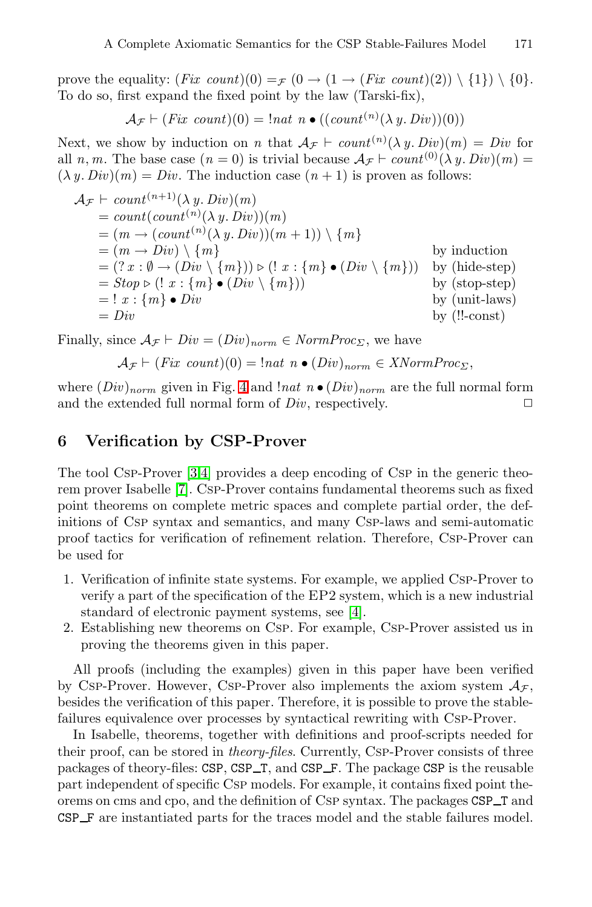prove the equality:  $(Fix \ count)(0) = f(0 \rightarrow (1 \rightarrow (Fix \ count)(2)) \setminus \{1\}) \setminus \{0\}.$ To do so, first expand the fixed point by the law (Tarski-fix),

$$
\mathcal{A}_{\mathcal{F}} \vdash (Fix \ count)(0) = !nat \ n \bullet ((count^{(n)}(\lambda y. Div))(0))
$$

Next, we show by induction on n that  $\mathcal{A}_{\mathcal{F}} \vdash count^{(n)}(\lambda y, Div)(m) = Div$  for all n, m. The base case  $(n = 0)$  is trivial because  $A_{\mathcal{F}} \vdash count^{(0)}(\lambda y, Div)(m) =$  $(\lambda y. Div)(m) = Div.$  The induction case  $(n + 1)$  is proven as follows:

$$
A_{\mathcal{F}} \vdash count^{(n+1)}(\lambda y. Div)(m)
$$
  
= count(count<sup>(n)</sup>(\lambda y. Div))(m)  
= (m \rightarrow (count<sup>(n)</sup>(\lambda y. Div))(m + 1)) \setminus \{m\}  
= (m \rightarrow Div) \setminus \{m\}  
= (? x : \emptyset \rightarrow (Div \setminus \{m\})) \triangleright (! x : \{m\} \bullet (Div \setminus \{m\})) \tby (hide-step)  
= Stop \triangleright (! x : \{m\} \bullet (Div \setminus \{m\}))  
= ! x : \{m\} \bullet Div  
= Div \tby (unit-laws)  
by (1!-const)  
by (1!-const)

Finally, since  $\mathcal{A}_{\mathcal{F}} \vdash Div = (Div)_{norm} \in NormProc_{\Sigma}$ , we have

$$
\mathcal{A}_{\mathcal{F}} \vdash (Fix \ count)(0) = !nat \ n \bullet (Div)_{norm} \in XNormProc_{\Sigma},
$$

where  $(Div)_{norm}$  given in Fig. [4](#page-11-0) and !nat  $n \bullet (Div)_{norm}$  are the full normal form and the extended full normal form of  $Div$ , respectively.  $\Box$ 

#### **6 Verification by CSP-Prover**

The tool Csp-Prover [\[3](#page-14-9)[,4\]](#page-14-4) provides a deep encoding of Csp in the generic theorem prover Isabelle [\[7\]](#page-14-10). Csp-Prover contains fundamental theorems such as fixed point theorems on complete metric spaces and complete partial order, the definitions of Csp syntax and semantics, and many Csp-laws and semi-automatic proof tactics for verification of refinement relation. Therefore, Csp-Prover can be used for

- 1. Verification of infinite state systems. For example, we applied Csp-Prover to verify a part of the specification of the EP2 system, which is a new industrial standard of electronic payment systems, see [\[4\]](#page-14-4).
- 2. Establishing new theorems on Csp. For example, Csp-Prover assisted us in proving the theorems given in this paper.

All proofs (including the examples) given in this paper have been verified by Csp-Prover. However, Csp-Prover also implements the axiom system  $\mathcal{A}_{\mathcal{F}}$ , besides the verification of this paper. Therefore, it is possible to prove the stablefailures equivalence over processes by syntactical rewriting with Csp-Prover.

In Isabelle, theorems, together with definitions and proof-scripts needed for their proof, can be stored in *theory-files*. Currently, CSP-Prover consists of three packages of theory-files: CSP, CSP T, and CSP F. The package CSP is the reusable part independent of specific Csp models. For example, it contains fixed point theorems on cms and cpo, and the definition of CSP syntax. The packages CSP T and CSP F are instantiated parts for the traces model and the stable failures model.